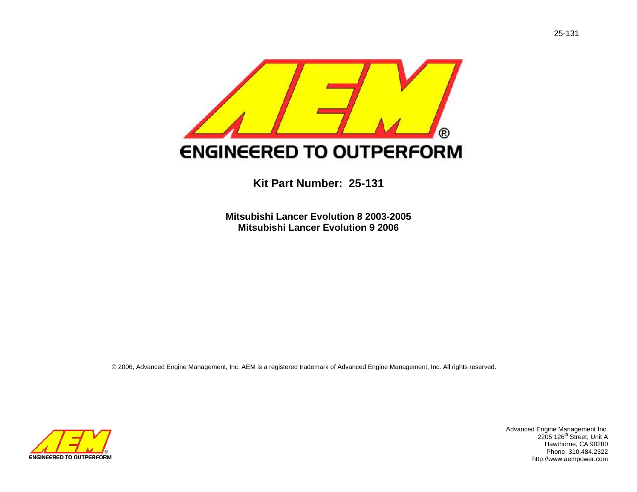

**Kit Part Number: 25-131** 

**Mitsubishi Lancer Evolution 8 2003-2005 Mitsubishi Lancer Evolution 9 2006**

© 2006, Advanced Engine Management, Inc. AEM is a registered trademark of Advanced Engine Management, Inc. All rights reserved.



Advanced Engine Management Inc.<br>
2205 126<sup>th</sup> Street, Unit A Hawthorne, CA 90280 Phone: 310.484.2322 http://www.aempower.com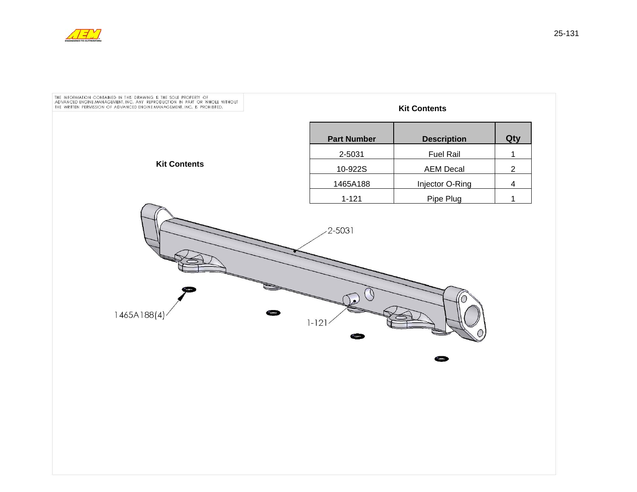

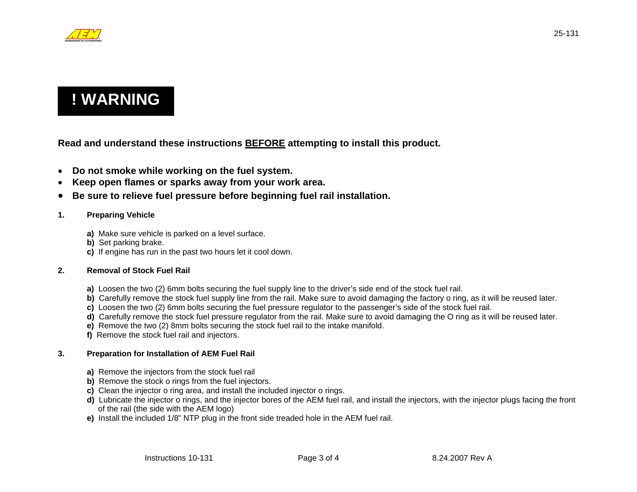

# **! WARNING**

**Read and understand these instructions BEFORE attempting to install this product.**

- **Do not smoke while working on the fuel system.**
- $\bullet$ **Keep open flames or sparks away from your work area.**
- $\bullet$ **Be sure to relieve fuel pressure before beginning fuel rail installation.**

## **1. Preparing Vehicle**

- **a)** Make sure vehicle is parked on a level surface.
- **b)** Set parking brake.
- **c)** If engine has run in the past two hours let it cool down.

### **2. Removal of Stock Fuel Rail**

- **a)** Loosen the two (2) 6mm bolts securing the fuel supply line to the driver's side end of the stock fuel rail.
- **b)** Carefully remove the stock fuel supply line from the rail. Make sure to avoid damaging the factory o ring, as it will be reused later.
- **c)** Loosen the two (2) 6mm bolts securing the fuel pressure regulator to the passenger's side of the stock fuel rail.
- **d)** Carefully remove the stock fuel pressure regulator from the rail. Make sure to avoid damaging the O ring as it will be reused later.
- **e)** Remove the two (2) 8mm bolts securing the stock fuel rail to the intake manifold.
- **f)** Remove the stock fuel rail and injectors.

### **3. Preparation for Installation of AEM Fuel Rail**

- **a)** Remove the injectors from the stock fuel rail
- **b)** Remove the stock o rings from the fuel injectors.
- **c)** Clean the injector o ring area, and install the included injector o rings.
- **d)** Lubricate the injector o rings, and the injector bores of the AEM fuel rail, and install the injectors, with the injector plugs facing the front of the rail (the side with the AEM logo)
- **e)** Install the included 1/8" NTP plug in the front side treaded hole in the AEM fuel rail.